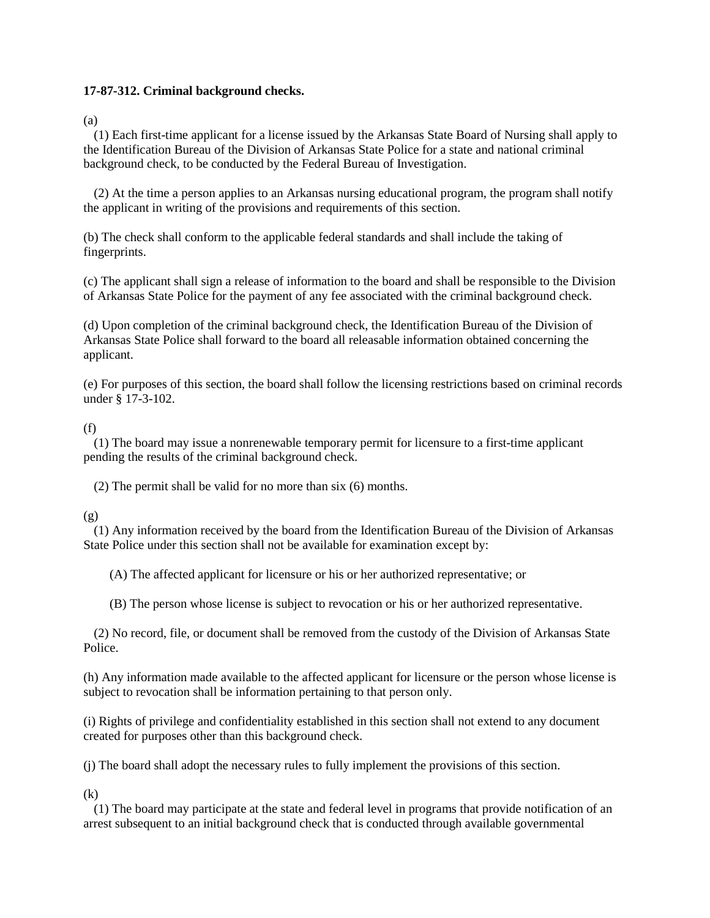## **17-87-312. Criminal background checks.**

(a)

(1) Each first-time applicant for a license issued by the Arkansas State Board of Nursing shall apply to the Identification Bureau of the Division of Arkansas State Police for a state and national criminal background check, to be conducted by the Federal Bureau of Investigation.

(2) At the time a person applies to an Arkansas nursing educational program, the program shall notify the applicant in writing of the provisions and requirements of this section.

(b) The check shall conform to the applicable federal standards and shall include the taking of fingerprints.

(c) The applicant shall sign a release of information to the board and shall be responsible to the Division of Arkansas State Police for the payment of any fee associated with the criminal background check.

(d) Upon completion of the criminal background check, the Identification Bureau of the Division of Arkansas State Police shall forward to the board all releasable information obtained concerning the applicant.

(e) For purposes of this section, the board shall follow the licensing restrictions based on criminal records under § 17-3-102.

## (f)

(1) The board may issue a nonrenewable temporary permit for licensure to a first-time applicant pending the results of the criminal background check.

(2) The permit shall be valid for no more than six (6) months.

## (g)

(1) Any information received by the board from the Identification Bureau of the Division of Arkansas State Police under this section shall not be available for examination except by:

(A) The affected applicant for licensure or his or her authorized representative; or

(B) The person whose license is subject to revocation or his or her authorized representative.

(2) No record, file, or document shall be removed from the custody of the Division of Arkansas State Police.

(h) Any information made available to the affected applicant for licensure or the person whose license is subject to revocation shall be information pertaining to that person only.

(i) Rights of privilege and confidentiality established in this section shall not extend to any document created for purposes other than this background check.

(j) The board shall adopt the necessary rules to fully implement the provisions of this section.

(k)

(1) The board may participate at the state and federal level in programs that provide notification of an arrest subsequent to an initial background check that is conducted through available governmental